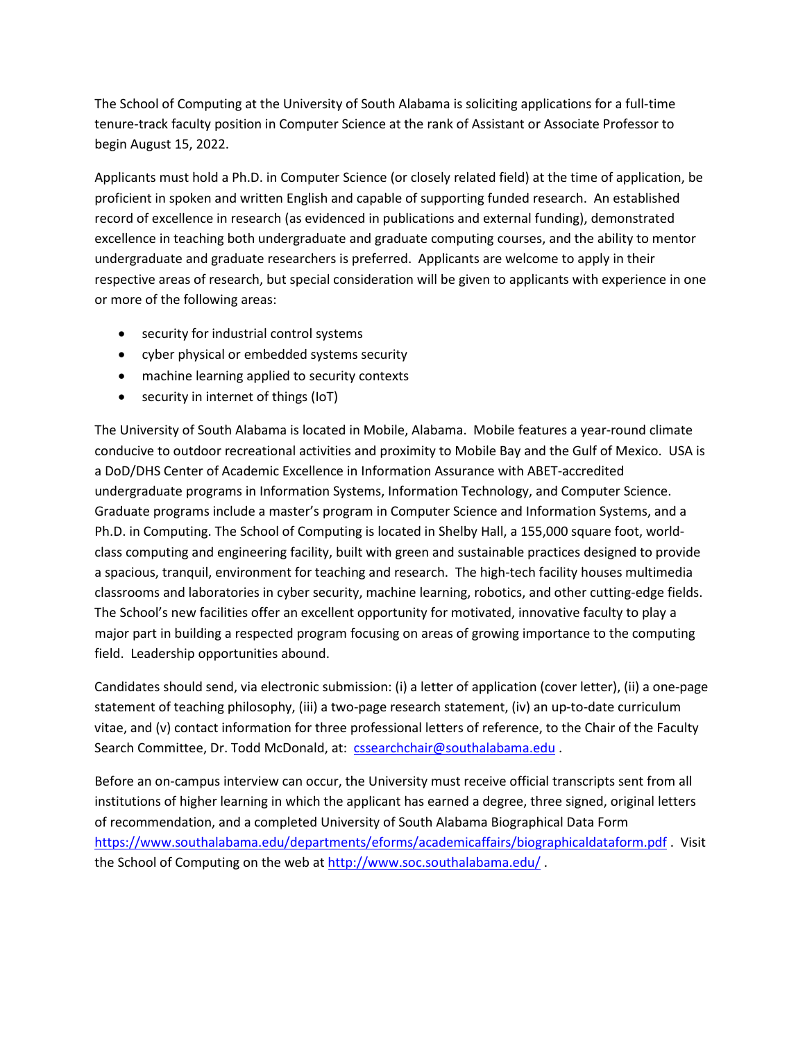The School of Computing at the University of South Alabama is soliciting applications for a full-time tenure-track faculty position in Computer Science at the rank of Assistant or Associate Professor to begin August 15, 2022.

Applicants must hold a Ph.D. in Computer Science (or closely related field) at the time of application, be proficient in spoken and written English and capable of supporting funded research. An established record of excellence in research (as evidenced in publications and external funding), demonstrated excellence in teaching both undergraduate and graduate computing courses, and the ability to mentor undergraduate and graduate researchers is preferred. Applicants are welcome to apply in their respective areas of research, but special consideration will be given to applicants with experience in one or more of the following areas:

- security for industrial control systems
- cyber physical or embedded systems security
- machine learning applied to security contexts
- security in internet of things (IoT)

The University of South Alabama is located in Mobile, Alabama. Mobile features a year-round climate conducive to outdoor recreational activities and proximity to Mobile Bay and the Gulf of Mexico. USA is a DoD/DHS Center of Academic Excellence in Information Assurance with ABET-accredited undergraduate programs in Information Systems, Information Technology, and Computer Science. Graduate programs include a master's program in Computer Science and Information Systems, and a Ph.D. in Computing. The School of Computing is located in Shelby Hall, a 155,000 square foot, worldclass computing and engineering facility, built with green and sustainable practices designed to provide a spacious, tranquil, environment for teaching and research. The high-tech facility houses multimedia classrooms and laboratories in cyber security, machine learning, robotics, and other cutting-edge fields. The School's new facilities offer an excellent opportunity for motivated, innovative faculty to play a major part in building a respected program focusing on areas of growing importance to the computing field. Leadership opportunities abound.

Candidates should send, via electronic submission: (i) a letter of application (cover letter), (ii) a one-page statement of teaching philosophy, (iii) a two-page research statement, (iv) an up-to-date curriculum vitae, and (v) contact information for three professional letters of reference, to the Chair of the Faculty Search Committee, Dr. Todd McDonald, at: [cssearchchair@southalabama.edu](mailto:cssearchchair@southalabama.edu) .

Before an on-campus interview can occur, the University must receive official transcripts sent from all institutions of higher learning in which the applicant has earned a degree, three signed, original letters of recommendation, and a completed University of South Alabama Biographical Data Form <https://www.southalabama.edu/departments/eforms/academicaffairs/biographicaldataform.pdf> . Visit the School of Computing on the web a[t http://www.soc.southalabama.edu/](http://www.soc.southalabama.edu/) .